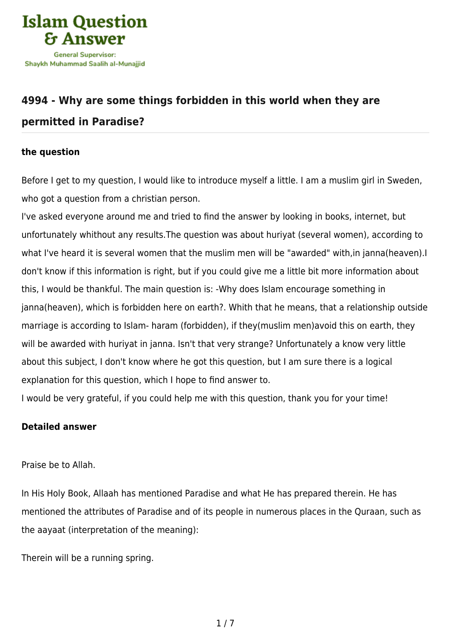

# **[4994 - Why are some things forbidden in this world when they are](https://islamqa.com/en/answers/4994/why-are-some-things-forbidden-in-this-world-when-they-are-permitted-in-paradise) [permitted in Paradise?](https://islamqa.com/en/answers/4994/why-are-some-things-forbidden-in-this-world-when-they-are-permitted-in-paradise)**

## **the question**

Before I get to my question, I would like to introduce myself a little. I am a muslim girl in Sweden, who got a question from a christian person.

I've asked everyone around me and tried to find the answer by looking in books, internet, but unfortunately whithout any results.The question was about huriyat (several women), according to what I've heard it is several women that the muslim men will be "awarded" with,in janna(heaven).I don't know if this information is right, but if you could give me a little bit more information about this, I would be thankful. The main question is: -Why does Islam encourage something in janna(heaven), which is forbidden here on earth?. Whith that he means, that a relationship outside marriage is according to Islam- haram (forbidden), if they(muslim men)avoid this on earth, they will be awarded with huriyat in janna. Isn't that very strange? Unfortunately a know very little about this subject, I don't know where he got this question, but I am sure there is a logical explanation for this question, which I hope to find answer to.

I would be very grateful, if you could help me with this question, thank you for your time!

#### **Detailed answer**

Praise be to Allah.

In His Holy Book, Allaah has mentioned Paradise and what He has prepared therein. He has mentioned the attributes of Paradise and of its people in numerous places in the Quraan, such as the aayaat (interpretation of the meaning):

Therein will be a running spring.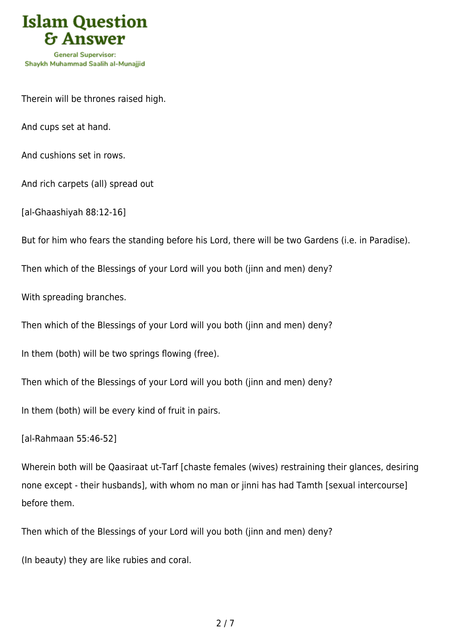

Therein will be thrones raised high.

And cups set at hand.

And cushions set in rows.

And rich carpets (all) spread out

[al-Ghaashiyah 88:12-16]

But for him who fears the standing before his Lord, there will be two Gardens (i.e. in Paradise).

Then which of the Blessings of your Lord will you both (jinn and men) deny?

With spreading branches.

Then which of the Blessings of your Lord will you both (jinn and men) deny?

In them (both) will be two springs flowing (free).

Then which of the Blessings of your Lord will you both (jinn and men) deny?

In them (both) will be every kind of fruit in pairs.

[al-Rahmaan 55:46-52]

Wherein both will be Qaasiraat ut-Tarf [chaste females (wives) restraining their glances, desiring none except - their husbands], with whom no man or jinni has had Tamth [sexual intercourse] before them.

Then which of the Blessings of your Lord will you both (jinn and men) deny?

(In beauty) they are like rubies and coral.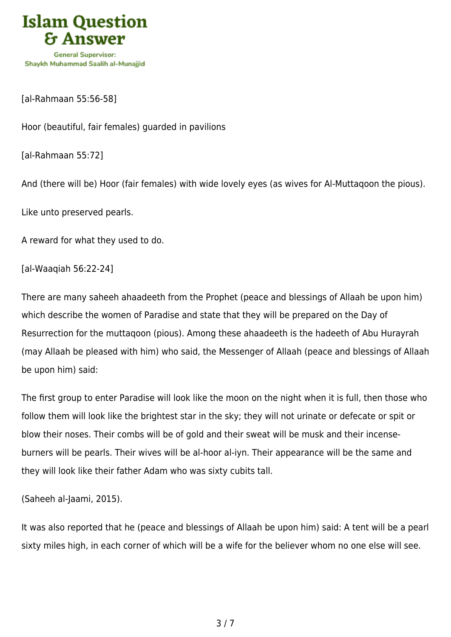

[al-Rahmaan 55:56-58]

Hoor (beautiful, fair females) guarded in pavilions

[al-Rahmaan 55:72]

And (there will be) Hoor (fair females) with wide lovely eyes (as wives for Al-Muttaqoon the pious).

Like unto preserved pearls.

A reward for what they used to do.

[al-Waaqiah 56:22-24]

There are many saheeh ahaadeeth from the Prophet (peace and blessings of Allaah be upon him) which describe the women of Paradise and state that they will be prepared on the Day of Resurrection for the muttaqoon (pious). Among these ahaadeeth is the hadeeth of Abu Hurayrah (may Allaah be pleased with him) who said, the Messenger of Allaah (peace and blessings of Allaah be upon him) said:

The first group to enter Paradise will look like the moon on the night when it is full, then those who follow them will look like the brightest star in the sky; they will not urinate or defecate or spit or blow their noses. Their combs will be of gold and their sweat will be musk and their incenseburners will be pearls. Their wives will be al-hoor al-iyn. Their appearance will be the same and they will look like their father Adam who was sixty cubits tall.

(Saheeh al-Jaami, 2015).

It was also reported that he (peace and blessings of Allaah be upon him) said: A tent will be a pearl sixty miles high, in each corner of which will be a wife for the believer whom no one else will see.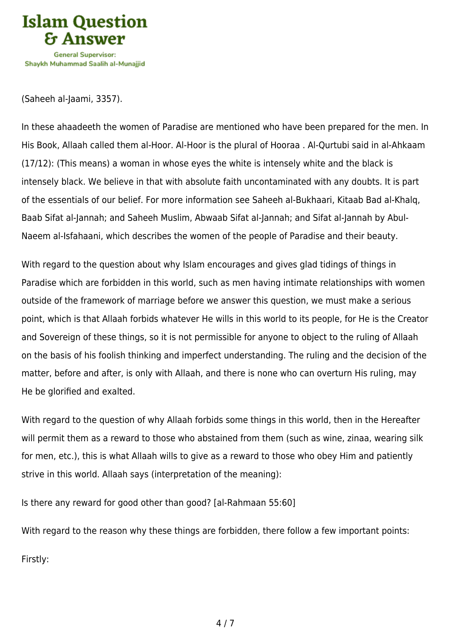

(Saheeh al-Jaami, 3357).

In these ahaadeeth the women of Paradise are mentioned who have been prepared for the men. In His Book, Allaah called them al-Hoor. Al-Hoor is the plural of Hooraa . Al-Qurtubi said in al-Ahkaam (17/12): (This means) a woman in whose eyes the white is intensely white and the black is intensely black. We believe in that with absolute faith uncontaminated with any doubts. It is part of the essentials of our belief. For more information see Saheeh al-Bukhaari, Kitaab Bad al-Khalq, Baab Sifat al-Jannah; and Saheeh Muslim, Abwaab Sifat al-Jannah; and Sifat al-Jannah by Abul-Naeem al-Isfahaani, which describes the women of the people of Paradise and their beauty.

With regard to the question about why Islam encourages and gives glad tidings of things in Paradise which are forbidden in this world, such as men having intimate relationships with women outside of the framework of marriage before we answer this question, we must make a serious point, which is that Allaah forbids whatever He wills in this world to its people, for He is the Creator and Sovereign of these things, so it is not permissible for anyone to object to the ruling of Allaah on the basis of his foolish thinking and imperfect understanding. The ruling and the decision of the matter, before and after, is only with Allaah, and there is none who can overturn His ruling, may He be glorified and exalted.

With regard to the question of why Allaah forbids some things in this world, then in the Hereafter will permit them as a reward to those who abstained from them (such as wine, zinaa, wearing silk for men, etc.), this is what Allaah wills to give as a reward to those who obey Him and patiently strive in this world. Allaah says (interpretation of the meaning):

Is there any reward for good other than good? [al-Rahmaan 55:60]

With regard to the reason why these things are forbidden, there follow a few important points: Firstly: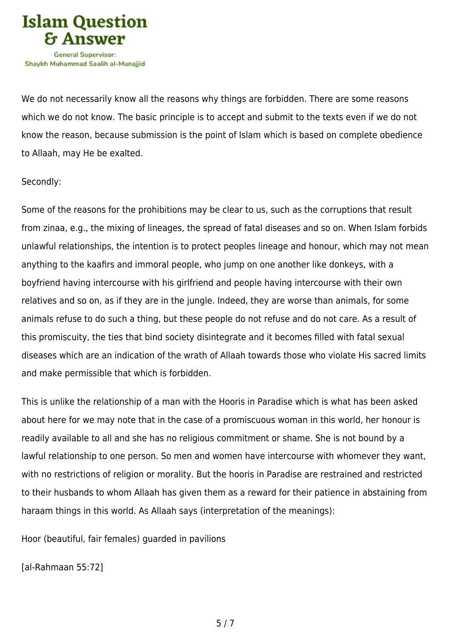

We do not necessarily know all the reasons why things are forbidden. There are some reasons which we do not know. The basic principle is to accept and submit to the texts even if we do not know the reason, because submission is the point of Islam which is based on complete obedience to Allaah, may He be exalted.

## Secondly:

Some of the reasons for the prohibitions may be clear to us, such as the corruptions that result from zinaa, e.g., the mixing of lineages, the spread of fatal diseases and so on. When Islam forbids unlawful relationships, the intention is to protect peoples lineage and honour, which may not mean anything to the kaafirs and immoral people, who jump on one another like donkeys, with a boyfriend having intercourse with his girlfriend and people having intercourse with their own relatives and so on, as if they are in the jungle. Indeed, they are worse than animals, for some animals refuse to do such a thing, but these people do not refuse and do not care. As a result of this promiscuity, the ties that bind society disintegrate and it becomes filled with fatal sexual diseases which are an indication of the wrath of Allaah towards those who violate His sacred limits and make permissible that which is forbidden.

This is unlike the relationship of a man with the Hooris in Paradise which is what has been asked about here for we may note that in the case of a promiscuous woman in this world, her honour is readily available to all and she has no religious commitment or shame. She is not bound by a lawful relationship to one person. So men and women have intercourse with whomever they want, with no restrictions of religion or morality. But the hooris in Paradise are restrained and restricted to their husbands to whom Allaah has given them as a reward for their patience in abstaining from haraam things in this world. As Allaah says (interpretation of the meanings):

Hoor (beautiful, fair females) guarded in pavilions

[al-Rahmaan 55:72]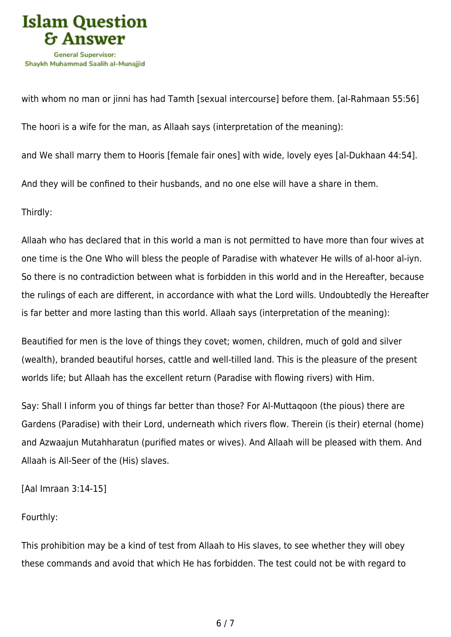

with whom no man or jinni has had Tamth [sexual intercourse] before them. [al-Rahmaan 55:56] The hoori is a wife for the man, as Allaah says (interpretation of the meaning):

and We shall marry them to Hooris [female fair ones] with wide, lovely eyes [al-Dukhaan 44:54].

And they will be confined to their husbands, and no one else will have a share in them.

Thirdly:

Allaah who has declared that in this world a man is not permitted to have more than four wives at one time is the One Who will bless the people of Paradise with whatever He wills of al-hoor al-iyn. So there is no contradiction between what is forbidden in this world and in the Hereafter, because the rulings of each are different, in accordance with what the Lord wills. Undoubtedly the Hereafter is far better and more lasting than this world. Allaah says (interpretation of the meaning):

Beautified for men is the love of things they covet; women, children, much of gold and silver (wealth), branded beautiful horses, cattle and well-tilled land. This is the pleasure of the present worlds life; but Allaah has the excellent return (Paradise with flowing rivers) with Him.

Say: Shall I inform you of things far better than those? For Al-Muttaqoon (the pious) there are Gardens (Paradise) with their Lord, underneath which rivers flow. Therein (is their) eternal (home) and Azwaajun Mutahharatun (purified mates or wives). And Allaah will be pleased with them. And Allaah is All-Seer of the (His) slaves.

[Aal Imraan 3:14-15]

Fourthly:

This prohibition may be a kind of test from Allaah to His slaves, to see whether they will obey these commands and avoid that which He has forbidden. The test could not be with regard to